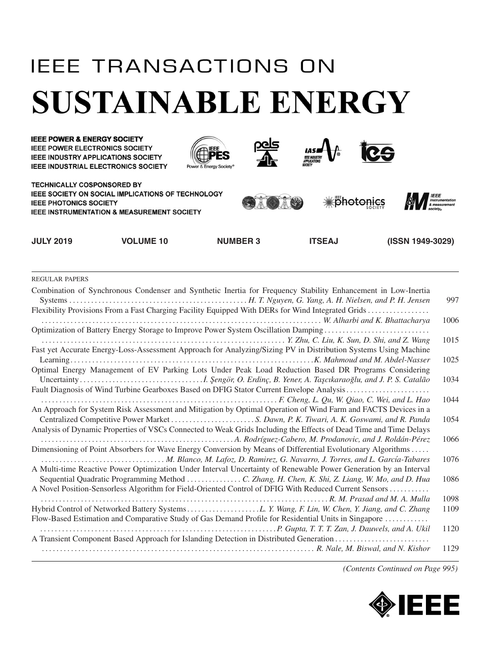## **IEEE TRANSACTIONS ON SUSTAINABLE ENERGY**



REGULAR PAPERS

| Combination of Synchronous Condenser and Synthetic Inertia for Frequency Stability Enhancement in Low-Inertia<br>Flexibility Provisions From a Fast Charging Facility Equipped With DERs for Wind Integrated Grids | 997  |
|--------------------------------------------------------------------------------------------------------------------------------------------------------------------------------------------------------------------|------|
|                                                                                                                                                                                                                    | 1006 |
| Optimization of Battery Energy Storage to Improve Power System Oscillation Damping                                                                                                                                 |      |
|                                                                                                                                                                                                                    | 1015 |
| Fast yet Accurate Energy-Loss-Assessment Approach for Analyzing/Sizing PV in Distribution Systems Using Machine                                                                                                    |      |
|                                                                                                                                                                                                                    | 1025 |
| Optimal Energy Management of EV Parking Lots Under Peak Load Reduction Based DR Programs Considering                                                                                                               |      |
|                                                                                                                                                                                                                    | 1034 |
| Fault Diagnosis of Wind Turbine Gearboxes Based on DFIG Stator Current Envelope Analysis                                                                                                                           |      |
|                                                                                                                                                                                                                    | 1044 |
| An Approach for System Risk Assessment and Mitigation by Optimal Operation of Wind Farm and FACTS Devices in a                                                                                                     |      |
|                                                                                                                                                                                                                    | 1054 |
| Analysis of Dynamic Properties of VSCs Connected to Weak Grids Including the Effects of Dead Time and Time Delays                                                                                                  |      |
|                                                                                                                                                                                                                    | 1066 |
| Dimensioning of Point Absorbers for Wave Energy Conversion by Means of Differential Evolutionary Algorithms                                                                                                        |      |
|                                                                                                                                                                                                                    | 1076 |
| A Multi-time Reactive Power Optimization Under Interval Uncertainty of Renewable Power Generation by an Interval                                                                                                   |      |
| Sequential Quadratic Programming Method  C. Zhang, H. Chen, K. Shi, Z. Liang, W. Mo, and D. Hua                                                                                                                    | 1086 |
| A Novel Position-Sensorless Algorithm for Field-Oriented Control of DFIG With Reduced Current Sensors                                                                                                              |      |
|                                                                                                                                                                                                                    | 1098 |
|                                                                                                                                                                                                                    | 1109 |
| Flow-Based Estimation and Comparative Study of Gas Demand Profile for Residential Units in Singapore                                                                                                               |      |
|                                                                                                                                                                                                                    | 1120 |
| A Transient Component Based Approach for Islanding Detection in Distributed Generation                                                                                                                             |      |
|                                                                                                                                                                                                                    | 1129 |
|                                                                                                                                                                                                                    |      |

*(Contents Continued on Page 995)*

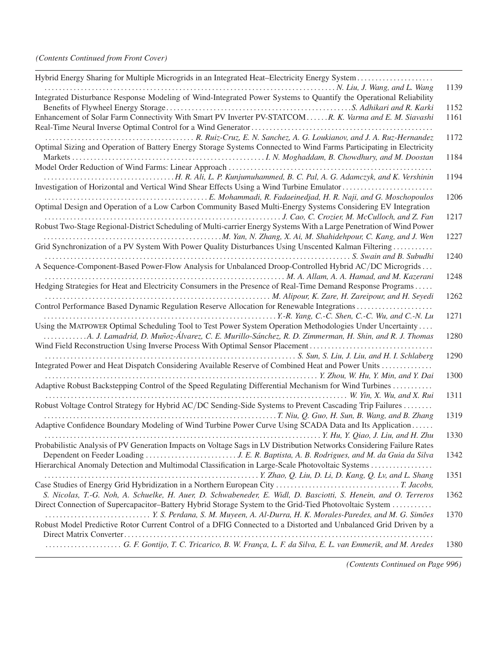| Hybrid Energy Sharing for Multiple Microgrids in an Integrated Heat-Electricity Energy System                                                                                        |      |
|--------------------------------------------------------------------------------------------------------------------------------------------------------------------------------------|------|
| Integrated Disturbance Response Modeling of Wind-Integrated Power Systems to Quantify the Operational Reliability                                                                    | 1139 |
|                                                                                                                                                                                      | 1152 |
| Enhancement of Solar Farm Connectivity With Smart PV Inverter PV-STATCOM R. K. Varma and E. M. Siavashi                                                                              | 1161 |
| Optimal Sizing and Operation of Battery Energy Storage Systems Connected to Wind Farms Participating in Electricity                                                                  | 1172 |
|                                                                                                                                                                                      | 1184 |
|                                                                                                                                                                                      | 1194 |
| Investigation of Horizontal and Vertical Wind Shear Effects Using a Wind Turbine Emulator                                                                                            |      |
| Optimal Design and Operation of a Low Carbon Community Based Multi-Energy Systems Considering EV Integration                                                                         | 1206 |
|                                                                                                                                                                                      | 1217 |
| Robust Two-Stage Regional-District Scheduling of Multi-carrier Energy Systems With a Large Penetration of Wind Power                                                                 |      |
|                                                                                                                                                                                      | 1227 |
| Grid Synchronization of a PV System With Power Quality Disturbances Using Unscented Kalman Filtering                                                                                 |      |
|                                                                                                                                                                                      | 1240 |
| A Sequence-Component-Based Power-Flow Analysis for Unbalanced Droop-Controlled Hybrid AC/DC Microgrids                                                                               |      |
|                                                                                                                                                                                      | 1248 |
| Hedging Strategies for Heat and Electricity Consumers in the Presence of Real-Time Demand Response Programs                                                                          |      |
|                                                                                                                                                                                      | 1262 |
| Control Performance Based Dynamic Regulation Reserve Allocation for Renewable Integrations                                                                                           |      |
|                                                                                                                                                                                      | 1271 |
| Using the MATPOWER Optimal Scheduling Tool to Test Power System Operation Methodologies Under Uncertainty                                                                            |      |
| A. J. Lamadrid, D. Muñoz-Álvarez, C. E. Murillo-Sánchez, R. D. Zimmerman, H. Shin, and R. J. Thomas<br>Wind Field Reconstruction Using Inverse Process With Optimal Sensor Placement | 1280 |
|                                                                                                                                                                                      | 1290 |
| Integrated Power and Heat Dispatch Considering Available Reserve of Combined Heat and Power Units                                                                                    |      |
| Adaptive Robust Backstepping Control of the Speed Regulating Differential Mechanism for Wind Turbines                                                                                | 1300 |
| W. Yin, X. Wu, and X. Rui                                                                                                                                                            | 1311 |
| Robust Voltage Control Strategy for Hybrid AC/DC Sending-Side Systems to Prevent Cascading Trip Failures                                                                             |      |
|                                                                                                                                                                                      | 1319 |
| Adaptive Confidence Boundary Modeling of Wind Turbine Power Curve Using SCADA Data and Its Application                                                                               | 1330 |
| Probabilistic Analysis of PV Generation Impacts on Voltage Sags in LV Distribution Networks Considering Failure Rates                                                                |      |
|                                                                                                                                                                                      | 1342 |
| Hierarchical Anomaly Detection and Multimodal Classification in Large-Scale Photovoltaic Systems                                                                                     |      |
|                                                                                                                                                                                      |      |
|                                                                                                                                                                                      | 1351 |
|                                                                                                                                                                                      |      |
| S. Nicolas, T.-G. Noh, A. Schuelke, H. Auer, D. Schwabeneder, E. Widl, D. Basciotti, S. Henein, and O. Terreros                                                                      | 1362 |
| Direct Connection of Supercapacitor-Battery Hybrid Storage System to the Grid-Tied Photovoltaic System                                                                               |      |
|                                                                                                                                                                                      | 1370 |
| Robust Model Predictive Rotor Current Control of a DFIG Connected to a Distorted and Unbalanced Grid Driven by a                                                                     |      |
|                                                                                                                                                                                      |      |
|                                                                                                                                                                                      | 1380 |

*(Contents Continued on Page 996)*